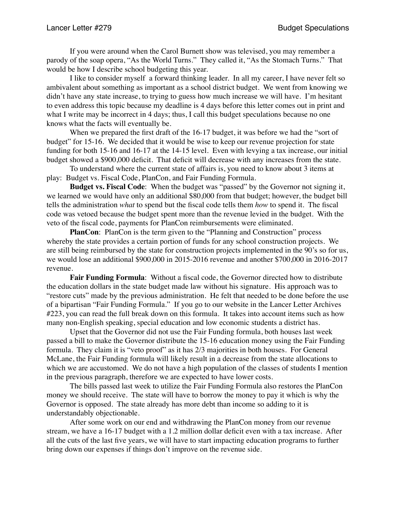If you were around when the Carol Burnett show was televised, you may remember a parody of the soap opera, "As the World Turns." They called it, "As the Stomach Turns." That would be how I describe school budgeting this year.

I like to consider myself a forward thinking leader. In all my career, I have never felt so ambivalent about something as important as a school district budget. We went from knowing we didn't have any state increase, to trying to guess how much increase we will have. I'm hesitant to even address this topic because my deadline is 4 days before this letter comes out in print and what I write may be incorrect in 4 days; thus, I call this budget speculations because no one knows what the facts will eventually be.

When we prepared the first draft of the 16-17 budget, it was before we had the "sort of budget" for 15-16. We decided that it would be wise to keep our revenue projection for state funding for both 15-16 and 16-17 at the 14-15 level. Even with levying a tax increase, our initial budget showed a \$900,000 deficit. That deficit will decrease with any increases from the state.

To understand where the current state of affairs is, you need to know about 3 items at play: Budget vs. Fiscal Code, PlanCon, and Fair Funding Formula.

**Budget vs. Fiscal Code**: When the budget was "passed" by the Governor not signing it, we learned we would have only an additional \$80,000 from that budget; however, the budget bill tells the administration *what* to spend but the fiscal code tells them *how* to spend it. The fiscal code was vetoed because the budget spent more than the revenue levied in the budget. With the veto of the fiscal code, payments for PlanCon reimbursements were eliminated.

**PlanCon**: PlanCon is the term given to the "Planning and Construction" process whereby the state provides a certain portion of funds for any school construction projects. We are still being reimbursed by the state for construction projects implemented in the 90's so for us, we would lose an additional \$900,000 in 2015-2016 revenue and another \$700,000 in 2016-2017 revenue.

**Fair Funding Formula**: Without a fiscal code, the Governor directed how to distribute the education dollars in the state budget made law without his signature. His approach was to "restore cuts" made by the previous administration. He felt that needed to be done before the use of a bipartisan "Fair Funding Formula." If you go to our website in the Lancer Letter Archives #223, you can read the full break down on this formula. It takes into account items such as how many non-English speaking, special education and low economic students a district has.

Upset that the Governor did not use the Fair Funding formula, both houses last week passed a bill to make the Governor distribute the 15-16 education money using the Fair Funding formula. They claim it is "veto proof" as it has 2/3 majorities in both houses. For General McLane, the Fair Funding formula will likely result in a decrease from the state allocations to which we are accustomed. We do not have a high population of the classes of students I mention in the previous paragraph, therefore we are expected to have lower costs.

The bills passed last week to utilize the Fair Funding Formula also restores the PlanCon money we should receive. The state will have to borrow the money to pay it which is why the Governor is opposed. The state already has more debt than income so adding to it is understandably objectionable.

After some work on our end and withdrawing the PlanCon money from our revenue stream, we have a 16-17 budget with a 1.2 million dollar deficit even with a tax increase. After all the cuts of the last five years, we will have to start impacting education programs to further bring down our expenses if things don't improve on the revenue side.